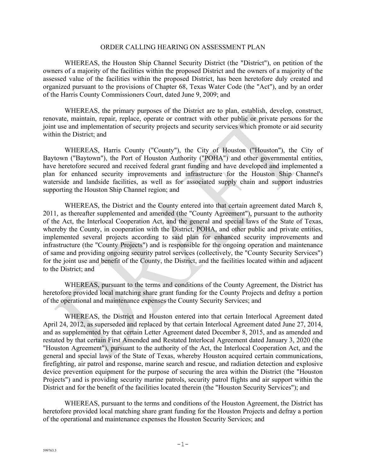#### ORDER CALLING HEARING ON ASSESSMENT PLAN

WHEREAS, the Houston Ship Channel Security District (the "District"), on petition of the owners of a majority of the facilities within the proposed District and the owners of a majority of the assessed value of the facilities within the proposed District, has been heretofore duly created and organized pursuant to the provisions of Chapter 68, Texas Water Code (the "Act"), and by an order of the Harris County Commissioners Court, dated June 9, 2009; and

WHEREAS, the primary purposes of the District are to plan, establish, develop, construct, renovate, maintain, repair, replace, operate or contract with other public or private persons for the joint use and implementation of security projects and security services which promote or aid security within the District; and

WHEREAS, Harris County ("County"), the City of Houston ("Houston"), the City of Baytown ("Baytown"), the Port of Houston Authority ("POHA") and other governmental entities, have heretofore secured and received federal grant funding and have developed and implemented a plan for enhanced security improvements and infrastructure for the Houston Ship Channel's waterside and landside facilities, as well as for associated supply chain and support industries supporting the Houston Ship Channel region; and

WHEREAS, the District and the County entered into that certain agreement dated March 8, 2011, as thereafter supplemented and amended (the "County Agreement"), pursuant to the authority of the Act, the Interlocal Cooperation Act, and the general and special laws of the State of Texas, whereby the County, in cooperation with the District, POHA, and other public and private entities, implemented several projects according to said plan for enhanced security improvements and infrastructure (the "County Projects") and is responsible for the ongoing operation and maintenance of same and providing ongoing security patrol services (collectively, the "County Security Services") for the joint use and benefit of the County, the District, and the facilities located within and adjacent to the District; and

WHEREAS, pursuant to the terms and conditions of the County Agreement, the District has heretofore provided local matching share grant funding for the County Projects and defray a portion of the operational and maintenance expenses the County Security Services; and

WHEREAS, the District and Houston entered into that certain Interlocal Agreement dated April 24, 2012, as superseded and replaced by that certain Interlocal Agreement dated June 27, 2014, and as supplemented by that certain Letter Agreement dated December 8, 2015, and as amended and restated by that certain First Amended and Restated Interlocal Agreement dated January 3, 2020 (the "Houston Agreement"), pursuant to the authority of the Act, the Interlocal Cooperation Act, and the general and special laws of the State of Texas, whereby Houston acquired certain communications, firefighting, air patrol and response, marine search and rescue, and radiation detection and explosive device prevention equipment for the purpose of securing the area within the District (the "Houston Projects") and is providing security marine patrols, security patrol flights and air support within the District and for the benefit of the facilities located therein (the "Houston Security Services"); and

WHEREAS, pursuant to the terms and conditions of the Houston Agreement, the District has heretofore provided local matching share grant funding for the Houston Projects and defray a portion of the operational and maintenance expenses the Houston Security Services; and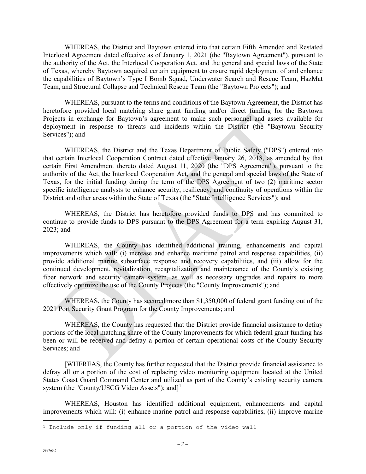WHEREAS, the District and Baytown entered into that certain Fifth Amended and Restated Interlocal Agreement dated effective as of January 1, 2021 (the "Baytown Agreement"), pursuant to the authority of the Act, the Interlocal Cooperation Act, and the general and special laws of the State of Texas, whereby Baytown acquired certain equipment to ensure rapid deployment of and enhance the capabilities of Baytown's Type I Bomb Squad, Underwater Search and Rescue Team, HazMat Team, and Structural Collapse and Technical Rescue Team (the "Baytown Projects"); and

WHEREAS, pursuant to the terms and conditions of the Baytown Agreement, the District has heretofore provided local matching share grant funding and/or direct funding for the Baytown Projects in exchange for Baytown's agreement to make such personnel and assets available for deployment in response to threats and incidents within the District (the "Baytown Security Services"); and

WHEREAS, the District and the Texas Department of Public Safety ("DPS") entered into that certain Interlocal Cooperation Contract dated effective January 26, 2018, as amended by that certain First Amendment thereto dated August 11, 2020 (the "DPS Agreement"), pursuant to the authority of the Act, the Interlocal Cooperation Act, and the general and special laws of the State of Texas, for the initial funding during the term of the DPS Agreement of two (2) maritime sector specific intelligence analysts to enhance security, resiliency, and continuity of operations within the District and other areas within the State of Texas (the "State Intelligence Services"); and

WHEREAS, the District has heretofore provided funds to DPS and has committed to continue to provide funds to DPS pursuant to the DPS Agreement for a term expiring August 31, 2023; and

WHEREAS, the County has identified additional training, enhancements and capital improvements which will: (i) increase and enhance maritime patrol and response capabilities, (ii) provide additional marine subsurface response and recovery capabilities, and (iii) allow for the continued development, revitalization, recapitalization and maintenance of the County's existing fiber network and security camera system, as well as necessary upgrades and repairs to more effectively optimize the use of the County Projects (the "County Improvements"); and

WHEREAS, the County has secured more than \$1,350,000 of federal grant funding out of the 2021 Port Security Grant Program for the County Improvements; and

WHEREAS, the County has requested that the District provide financial assistance to defray portions of the local matching share of the County Improvements for which federal grant funding has been or will be received and defray a portion of certain operational costs of the County Security Services; and

[WHEREAS, the County has further requested that the District provide financial assistance to defray all or a portion of the cost of replacing video monitoring equipment located at the United States Coast Guard Command Center and utilized as part of the County's existing security camera system (the "County/USCG Video Assets"); and<sup>[1](#page-1-0)</sup>

WHEREAS, Houston has identified additional equipment, enhancements and capital improvements which will: (i) enhance marine patrol and response capabilities, (ii) improve marine

<span id="page-1-0"></span><sup>&</sup>lt;sup>1</sup> Include only if funding all or a portion of the video wall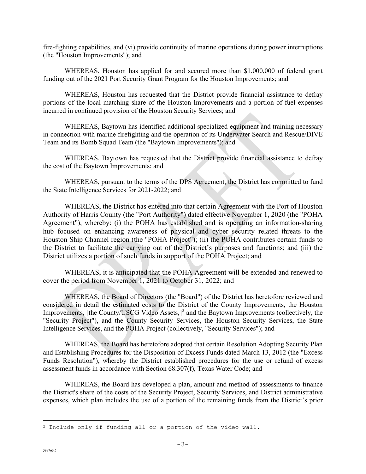fire-fighting capabilities, and (vi) provide continuity of marine operations during power interruptions (the "Houston Improvements"); and

WHEREAS, Houston has applied for and secured more than \$1,000,000 of federal grant funding out of the 2021 Port Security Grant Program for the Houston Improvements; and

WHEREAS, Houston has requested that the District provide financial assistance to defray portions of the local matching share of the Houston Improvements and a portion of fuel expenses incurred in continued provision of the Houston Security Services; and

WHEREAS, Baytown has identified additional specialized equipment and training necessary in connection with marine firefighting and the operation of its Underwater Search and Rescue/DIVE Team and its Bomb Squad Team (the "Baytown Improvements"); and

WHEREAS, Baytown has requested that the District provide financial assistance to defray the cost of the Baytown Improvements; and

WHEREAS, pursuant to the terms of the DPS Agreement, the District has committed to fund the State Intelligence Services for 2021-2022; and

WHEREAS, the District has entered into that certain Agreement with the Port of Houston Authority of Harris County (the "Port Authority") dated effective November 1, 2020 (the "POHA Agreement"), whereby: (i) the POHA has established and is operating an information-sharing hub focused on enhancing awareness of physical and cyber security related threats to the Houston Ship Channel region (the "POHA Project"); (ii) the POHA contributes certain funds to the District to facilitate the carrying out of the District's purposes and functions; and (iii) the District utilizes a portion of such funds in support of the POHA Project; and

WHEREAS, it is anticipated that the POHA Agreement will be extended and renewed to cover the period from November 1, 2021 to October 31, 2022; and

WHEREAS, the Board of Directors (the "Board") of the District has heretofore reviewed and considered in detail the estimated costs to the District of the County Improvements, the Houston Improvements, [the County/USCG Video Assets,]<sup>[2](#page-2-0)</sup> and the Baytown Improvements (collectively, the "Security Project"), and the County Security Services, the Houston Security Services, the State Intelligence Services, and the POHA Project (collectively, "Security Services"); and

WHEREAS, the Board has heretofore adopted that certain Resolution Adopting Security Plan and Establishing Procedures for the Disposition of Excess Funds dated March 13, 2012 (the "Excess Funds Resolution"), whereby the District established procedures for the use or refund of excess assessment funds in accordance with Section 68.307(f), Texas Water Code; and

WHEREAS, the Board has developed a plan, amount and method of assessments to finance the District's share of the costs of the Security Project, Security Services, and District administrative expenses, which plan includes the use of a portion of the remaining funds from the District's prior

<span id="page-2-0"></span><sup>&</sup>lt;sup>2</sup> Include only if funding all or a portion of the video wall.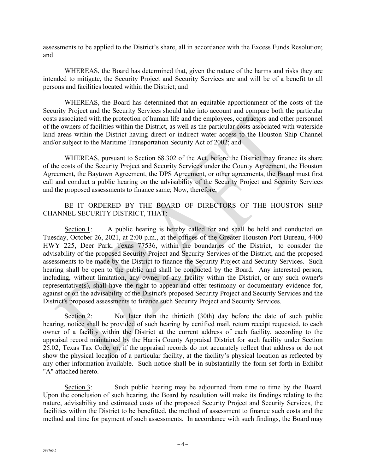assessments to be applied to the District's share, all in accordance with the Excess Funds Resolution; and

WHEREAS, the Board has determined that, given the nature of the harms and risks they are intended to mitigate, the Security Project and Security Services are and will be of a benefit to all persons and facilities located within the District; and

WHEREAS, the Board has determined that an equitable apportionment of the costs of the Security Project and the Security Services should take into account and compare both the particular costs associated with the protection of human life and the employees, contractors and other personnel of the owners of facilities within the District, as well as the particular costs associated with waterside land areas within the District having direct or indirect water access to the Houston Ship Channel and/or subject to the Maritime Transportation Security Act of 2002; and

WHEREAS, pursuant to Section 68.302 of the Act, before the District may finance its share of the costs of the Security Project and Security Services under the County Agreement, the Houston Agreement, the Baytown Agreement, the DPS Agreement, or other agreements, the Board must first call and conduct a public hearing on the advisability of the Security Project and Security Services and the proposed assessments to finance same; Now, therefore,

### BE IT ORDERED BY THE BOARD OF DIRECTORS OF THE HOUSTON SHIP CHANNEL SECURITY DISTRICT, THAT:

Section 1: A public hearing is hereby called for and shall be held and conducted on Tuesday, October 26, 2021, at 2:00 p.m., at the offices of the Greater Houston Port Bureau, 4400 HWY 225, Deer Park, Texas 77536, within the boundaries of the District, to consider the advisability of the proposed Security Project and Security Services of the District, and the proposed assessments to be made by the District to finance the Security Project and Security Services. Such hearing shall be open to the public and shall be conducted by the Board. Any interested person, including, without limitation, any owner of any facility within the District, or any such owner's representative(s), shall have the right to appear and offer testimony or documentary evidence for, against or on the advisability of the District's proposed Security Project and Security Services and the District's proposed assessments to finance such Security Project and Security Services.

Section 2: Not later than the thirtieth (30th) day before the date of such public hearing, notice shall be provided of such hearing by certified mail, return receipt requested, to each owner of a facility within the District at the current address of each facility, according to the appraisal record maintained by the Harris County Appraisal District for such facility under Section 25.02, Texas Tax Code, or, if the appraisal records do not accurately reflect that address or do not show the physical location of a particular facility, at the facility's physical location as reflected by any other information available. Such notice shall be in substantially the form set forth in Exhibit "A" attached hereto.

Section 3: Such public hearing may be adjourned from time to time by the Board. Upon the conclusion of such hearing, the Board by resolution will make its findings relating to the nature, advisability and estimated costs of the proposed Security Project and Security Services, the facilities within the District to be benefitted, the method of assessment to finance such costs and the method and time for payment of such assessments. In accordance with such findings, the Board may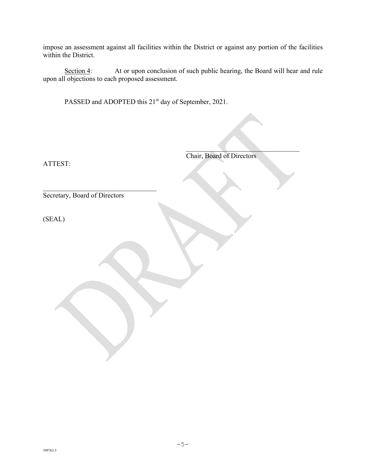impose an assessment against all facilities within the District or against any portion of the facilities within the District.

Section 4: At or upon conclusion of such public hearing, the Board will hear and rule upon all objections to each proposed assessment.

PASSED and ADOPTED this 21<sup>st</sup> day of September, 2021.

ATTEST:

Chair, Board of Directors

 $\mathcal{L}_\text{max}$  , where  $\mathcal{L}_\text{max}$  and  $\mathcal{L}_\text{max}$ 

\_\_\_\_\_\_\_\_\_\_\_\_\_\_\_\_\_\_\_\_\_\_\_\_\_\_\_\_\_\_\_\_\_ Secretary, Board of Directors

(SEAL)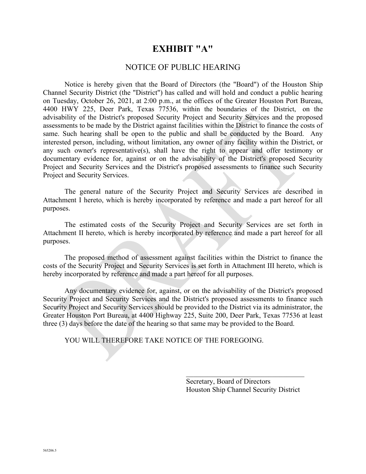### **EXHIBIT "A"**

### NOTICE OF PUBLIC HEARING

Notice is hereby given that the Board of Directors (the "Board") of the Houston Ship Channel Security District (the "District") has called and will hold and conduct a public hearing on Tuesday, October 26, 2021, at 2:00 p.m., at the offices of the Greater Houston Port Bureau, 4400 HWY 225, Deer Park, Texas 77536, within the boundaries of the District, on the advisability of the District's proposed Security Project and Security Services and the proposed assessments to be made by the District against facilities within the District to finance the costs of same. Such hearing shall be open to the public and shall be conducted by the Board. Any interested person, including, without limitation, any owner of any facility within the District, or any such owner's representative(s), shall have the right to appear and offer testimony or documentary evidence for, against or on the advisability of the District's proposed Security Project and Security Services and the District's proposed assessments to finance such Security Project and Security Services.

The general nature of the Security Project and Security Services are described in Attachment I hereto, which is hereby incorporated by reference and made a part hereof for all purposes.

The estimated costs of the Security Project and Security Services are set forth in Attachment II hereto, which is hereby incorporated by reference and made a part hereof for all purposes.

The proposed method of assessment against facilities within the District to finance the costs of the Security Project and Security Services is set forth in Attachment III hereto, which is hereby incorporated by reference and made a part hereof for all purposes.

Any documentary evidence for, against, or on the advisability of the District's proposed Security Project and Security Services and the District's proposed assessments to finance such Security Project and Security Services should be provided to the District via its administrator, the Greater Houston Port Bureau, at 4400 Highway 225, Suite 200, Deer Park, Texas 77536 at least three (3) days before the date of the hearing so that same may be provided to the Board.

YOU WILL THEREFORE TAKE NOTICE OF THE FOREGOING.

Secretary, Board of Directors Houston Ship Channel Security District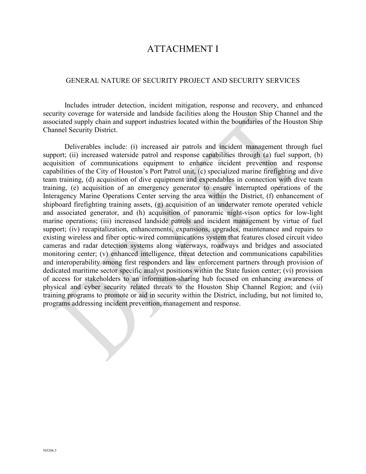### ATTACHMENT I

#### GENERAL NATURE OF SECURITY PROJECT AND SECURITY SERVICES

Includes intruder detection, incident mitigation, response and recovery, and enhanced security coverage for waterside and landside facilities along the Houston Ship Channel and the associated supply chain and support industries located within the boundaries of the Houston Ship Channel Security District.

Deliverables include: (i) increased air patrols and incident management through fuel support; (ii) increased waterside patrol and response capabilities through (a) fuel support, (b) acquisition of communications equipment to enhance incident prevention and response capabilities of the City of Houston's Port Patrol unit, (c) specialized marine firefighting and dive team training, (d) acquisition of dive equipment and expendables in connection with dive team training, (e) acquisition of an emergency generator to ensure interrupted operations of the Interagency Marine Operations Center serving the area within the District, (f) enhancement of shipboard firefighting training assets, (g) acquisition of an underwater remote operated vehicle and associated generator, and (h) acquisition of panoramic night-vison optics for low-light marine operations; (iii) increased landside patrols and incident management by virtue of fuel support; (iv) recapitalization, enhancements, expansions, upgrades, maintenance and repairs to existing wireless and fiber optic-wired communications system that features closed circuit video cameras and radar detection systems along waterways, roadways and bridges and associated monitoring center; (v) enhanced intelligence, threat detection and communications capabilities and interoperability among first responders and law enforcement partners through provision of dedicated maritime sector specific analyst positions within the State fusion center; (vi) provision of access for stakeholders to an information-sharing hub focused on enhancing awareness of physical and cyber security related threats to the Houston Ship Channel Region; and (vii) training programs to promote or aid in security within the District, including, but not limited to, programs addressing incident prevention, management and response.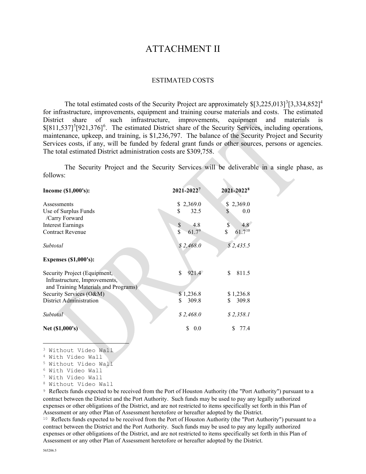### ATTACHMENT II

#### ESTIMATED COSTS

The total estimated costs of the Security Project are approximately  $$[3,225,013]^3[3,334,852]^4$  $$[3,225,013]^3[3,334,852]^4$  $$[3,225,013]^3[3,334,852]^4$  $$[3,225,013]^3[3,334,852]^4$  $$[3,225,013]^3[3,334,852]^4$ for infrastructure, improvements, equipment and training course materials and costs. The estimated District share of such infrastructure, improvements, equipment and materials is  $$[811,537]^5[921,376]^6$  $$[811,537]^5[921,376]^6$  $$[811,537]^5[921,376]^6$  $$[811,537]^5[921,376]^6$  $$[811,537]^5[921,376]^6$ . The estimated District share of the Security Services, including operations, maintenance, upkeep, and training, is \$1,236,797. The balance of the Security Project and Security Services costs, if any, will be funded by federal grant funds or other sources, persons or agencies. The total estimated District administration costs are \$309,758.

The Security Project and the Security Services will be deliverable in a single phase, as follows:

| Income (\$1,000's):                                                                                   | 2021-20227                                   | 2021-20228        |
|-------------------------------------------------------------------------------------------------------|----------------------------------------------|-------------------|
| Assessments                                                                                           | 2,369.0<br>\$                                | \$2,369.0         |
| Use of Surplus Funds<br>/Carry Forward                                                                | \$<br>32.5                                   | \$<br>0.0         |
| Interest Earnings                                                                                     | \$<br>4.8                                    | \$<br>4.8         |
| <b>Contract Revenue</b>                                                                               | $\overline{\mathbb{S}}$<br>61.7 <sup>9</sup> | $61.7^{10}$<br>\$ |
| Subtotal                                                                                              | \$2,468.0                                    | \$2,435.5         |
| <b>Expenses (\$1,000's):</b>                                                                          |                                              |                   |
| Security Project (Equipment,<br>Infrastructure, Improvements,<br>and Training Materials and Programs) | \$<br>921.4                                  | 811.5<br>\$       |
| Security Services (O&M)                                                                               | \$1,236.8                                    | \$1,236.8         |
| <b>District Administration</b>                                                                        | 309.8<br>\$                                  | 309.8<br>S        |
| Subtotal                                                                                              | \$2,468.0                                    | \$2,358.1         |
| Net (\$1,000's)                                                                                       | \$<br>0.0                                    | 77.4<br>S         |

<span id="page-7-1"></span><span id="page-7-0"></span><sup>3</sup> Without Video Wall

<sup>4</sup> With Video Wall

<span id="page-7-2"></span><sup>5</sup> Without Video Wall

<span id="page-7-3"></span><sup>6</sup> With Video Wall

- <span id="page-7-4"></span><sup>7</sup> With Video Wall
- <span id="page-7-5"></span><sup>8</sup> Without Video Wall

<span id="page-7-6"></span><sup>9</sup> Reflects funds expected to be received from the Port of Houston Authority (the "Port Authority") pursuant to a contract between the District and the Port Authority. Such funds may be used to pay any legally authorized expenses or other obligations of the District, and are not restricted to items specifically set forth in this Plan of Assessment or any other Plan of Assessment heretofore or hereafter adopted by the District.

<span id="page-7-7"></span><sup>10</sup> Reflects funds expected to be received from the Port of Houston Authority (the "Port Authority") pursuant to a contract between the District and the Port Authority. Such funds may be used to pay any legally authorized expenses or other obligations of the District, and are not restricted to items specifically set forth in this Plan of Assessment or any other Plan of Assessment heretofore or hereafter adopted by the District.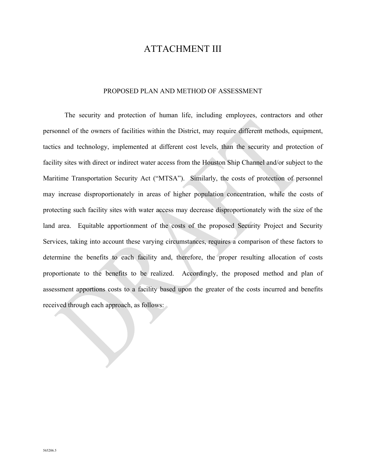### ATTACHMENT III

#### PROPOSED PLAN AND METHOD OF ASSESSMENT

The security and protection of human life, including employees, contractors and other personnel of the owners of facilities within the District, may require different methods, equipment, tactics and technology, implemented at different cost levels, than the security and protection of facility sites with direct or indirect water access from the Houston Ship Channel and/or subject to the Maritime Transportation Security Act ("MTSA"). Similarly, the costs of protection of personnel may increase disproportionately in areas of higher population concentration, while the costs of protecting such facility sites with water access may decrease disproportionately with the size of the land area. Equitable apportionment of the costs of the proposed Security Project and Security Services, taking into account these varying circumstances, requires a comparison of these factors to determine the benefits to each facility and, therefore, the proper resulting allocation of costs proportionate to the benefits to be realized. Accordingly, the proposed method and plan of assessment apportions costs to a facility based upon the greater of the costs incurred and benefits received through each approach, as follows: